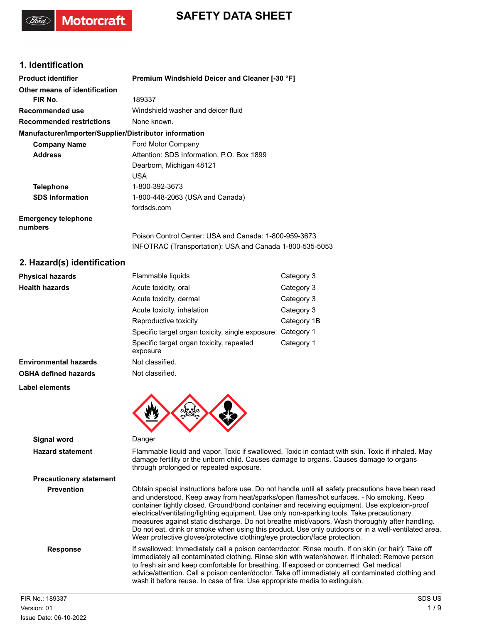

### **1. Identification**

**Motorcraft** 

| <b>Product identifier</b>                              | Premium Windshield Deicer and Cleaner [-30 °F]           |
|--------------------------------------------------------|----------------------------------------------------------|
| Other means of identification                          |                                                          |
| FIR No.                                                | 189337                                                   |
| Recommended use                                        | Windshield washer and deicer fluid                       |
| <b>Recommended restrictions</b>                        | None known.                                              |
| Manufacturer/Importer/Supplier/Distributor information |                                                          |
| <b>Company Name</b>                                    | Ford Motor Company                                       |
| <b>Address</b>                                         | Attention: SDS Information, P.O. Box 1899                |
|                                                        | Dearborn, Michigan 48121                                 |
|                                                        | USA.                                                     |
| <b>Telephone</b>                                       | 1-800-392-3673                                           |
| <b>SDS Information</b>                                 | 1-800-448-2063 (USA and Canada)                          |
|                                                        | fordsds.com                                              |
| <b>Emergency telephone</b><br>numbers                  |                                                          |
|                                                        | Poison Control Center: USA and Canada: 1-800-959-3673    |
|                                                        | INFOTRAC (Transportation): USA and Canada 1-800-535-5053 |
| $\Omega$ , llacard/a) identification                   |                                                          |

### **2. Hazard(s) identification**

**Precautionary statement**

| <b>Physical hazards</b>      | Flammable liquids                                    | Category 3  |
|------------------------------|------------------------------------------------------|-------------|
| <b>Health hazards</b>        | Acute toxicity, oral                                 | Category 3  |
|                              | Acute toxicity, dermal                               | Category 3  |
|                              | Acute toxicity, inhalation                           | Category 3  |
|                              | Reproductive toxicity                                | Category 1B |
|                              | Specific target organ toxicity, single exposure      | Category 1  |
|                              | Specific target organ toxicity, repeated<br>exposure | Category 1  |
| <b>Environmental hazards</b> | Not classified.                                      |             |
| <b>OSHA defined hazards</b>  | Not classified.                                      |             |
| Label elements               |                                                      |             |



#### **Signal word** Danger

**Hazard statement** Flammable liquid and vapor. Toxic if swallowed. Toxic in contact with skin. Toxic if inhaled. May damage fertility or the unborn child. Causes damage to organs. Causes damage to organs through prolonged or repeated exposure.

**Prevention** Obtain special instructions before use. Do not handle until all safety precautions have been read and understood. Keep away from heat/sparks/open flames/hot surfaces. - No smoking. Keep container tightly closed. Ground/bond container and receiving equipment. Use explosion-proof electrical/ventilating/lighting equipment. Use only non-sparking tools. Take precautionary measures against static discharge. Do not breathe mist/vapors. Wash thoroughly after handling. Do not eat, drink or smoke when using this product. Use only outdoors or in a well-ventilated area. Wear protective gloves/protective clothing/eye protection/face protection.

**Response** If swallowed: Immediately call a poison center/doctor. Rinse mouth. If on skin (or hair): Take off immediately all contaminated clothing. Rinse skin with water/shower. If inhaled: Remove person to fresh air and keep comfortable for breathing. If exposed or concerned: Get medical advice/attention. Call a poison center/doctor. Take off immediately all contaminated clothing and wash it before reuse. In case of fire: Use appropriate media to extinguish.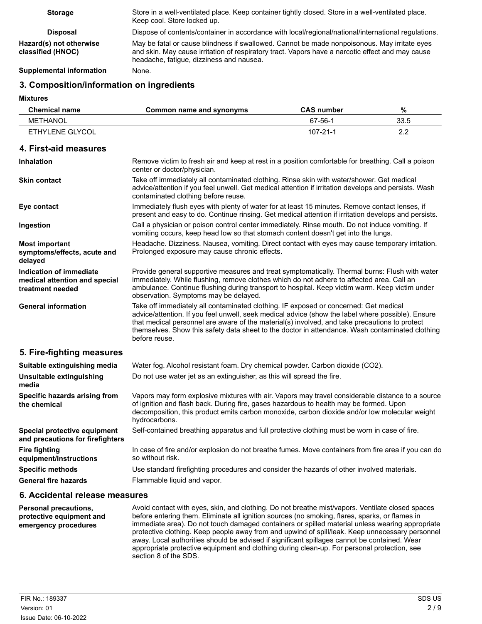| <b>Storage</b>                               | Store in a well-ventilated place. Keep container tightly closed. Store in a well-ventilated place.<br>Keep cool. Store locked up.                                                                                                            |
|----------------------------------------------|----------------------------------------------------------------------------------------------------------------------------------------------------------------------------------------------------------------------------------------------|
| <b>Disposal</b>                              | Dispose of contents/container in accordance with local/regional/national/international regulations.                                                                                                                                          |
| Hazard(s) not otherwise<br>classified (HNOC) | May be fatal or cause blindness if swallowed. Cannot be made nonpoisonous. May irritate eyes<br>and skin. May cause irritation of respiratory tract. Vapors have a narcotic effect and may cause<br>headache, fatique, dizziness and nausea. |
| Supplemental information                     | None.                                                                                                                                                                                                                                        |

## **3. Composition/information on ingredients**

**Mixtures**

| <b>Chemical name</b> | Common name and synonyms | <b>CAS number</b> | %        |
|----------------------|--------------------------|-------------------|----------|
| METHANOL             |                          | 67-56-1           | 33.5     |
| ETHYLENE GLYCOL      |                          | 107-21-1          | <u>.</u> |

### **4. First-aid measures**

| <b>Inhalation</b>                                                            | Remove victim to fresh air and keep at rest in a position comfortable for breathing. Call a poison<br>center or doctor/physician.                                                                                                                                                                                                                                                                              |
|------------------------------------------------------------------------------|----------------------------------------------------------------------------------------------------------------------------------------------------------------------------------------------------------------------------------------------------------------------------------------------------------------------------------------------------------------------------------------------------------------|
| <b>Skin contact</b>                                                          | Take off immediately all contaminated clothing. Rinse skin with water/shower. Get medical<br>advice/attention if you feel unwell. Get medical attention if irritation develops and persists. Wash<br>contaminated clothing before reuse.                                                                                                                                                                       |
| Eye contact                                                                  | Immediately flush eyes with plenty of water for at least 15 minutes. Remove contact lenses, if<br>present and easy to do. Continue rinsing. Get medical attention if irritation develops and persists.                                                                                                                                                                                                         |
| Ingestion                                                                    | Call a physician or poison control center immediately. Rinse mouth. Do not induce vomiting. If<br>vomiting occurs, keep head low so that stomach content doesn't get into the lungs.                                                                                                                                                                                                                           |
| <b>Most important</b><br>symptoms/effects, acute and<br>delayed              | Headache. Dizziness. Nausea, vomiting. Direct contact with eyes may cause temporary irritation.<br>Prolonged exposure may cause chronic effects.                                                                                                                                                                                                                                                               |
| Indication of immediate<br>medical attention and special<br>treatment needed | Provide general supportive measures and treat symptomatically. Thermal burns: Flush with water<br>immediately. While flushing, remove clothes which do not adhere to affected area. Call an<br>ambulance. Continue flushing during transport to hospital. Keep victim warm. Keep victim under<br>observation. Symptoms may be delayed.                                                                         |
| <b>General information</b>                                                   | Take off immediately all contaminated clothing. IF exposed or concerned: Get medical<br>advice/attention. If you feel unwell, seek medical advice (show the label where possible). Ensure<br>that medical personnel are aware of the material(s) involved, and take precautions to protect<br>themselves. Show this safety data sheet to the doctor in attendance. Wash contaminated clothing<br>before reuse. |
| 5. Fire-fighting measures                                                    |                                                                                                                                                                                                                                                                                                                                                                                                                |
| Suitable extinguishing media                                                 | Water fog. Alcohol resistant foam. Dry chemical powder. Carbon dioxide (CO2).                                                                                                                                                                                                                                                                                                                                  |
| Unsuitable extinguishing<br>media                                            | Do not use water jet as an extinguisher, as this will spread the fire.                                                                                                                                                                                                                                                                                                                                         |
| Specific hazards arising from<br>the chemical                                | Vapors may form explosive mixtures with air. Vapors may travel considerable distance to a source<br>of ignition and flash back. During fire, gases hazardous to health may be formed. Upon<br>decomposition, this product emits carbon monoxide, carbon dioxide and/or low molecular weight<br>hydrocarbons.                                                                                                   |
| Special protective equipment<br>and precautions for firefighters             | Self-contained breathing apparatus and full protective clothing must be worn in case of fire.                                                                                                                                                                                                                                                                                                                  |
| <b>Fire fighting</b><br>equipment/instructions                               | In case of fire and/or explosion do not breathe fumes. Move containers from fire area if you can do<br>so without risk.                                                                                                                                                                                                                                                                                        |
| <b>Specific methods</b>                                                      | Use standard firefighting procedures and consider the hazards of other involved materials.                                                                                                                                                                                                                                                                                                                     |
| <b>General fire hazards</b>                                                  | Flammable liquid and vapor.                                                                                                                                                                                                                                                                                                                                                                                    |

### **6. Accidental release measures**

Avoid contact with eyes, skin, and clothing. Do not breathe mist/vapors. Ventilate closed spaces before entering them. Eliminate all ignition sources (no smoking, flares, sparks, or flames in immediate area). Do not touch damaged containers or spilled material unless wearing appropriate protective clothing. Keep people away from and upwind of spill/leak. Keep unnecessary personnel away. Local authorities should be advised if significant spillages cannot be contained. Wear appropriate protective equipment and clothing during clean-up. For personal protection, see section 8 of the SDS. **Personal precautions, protective equipment and emergency procedures**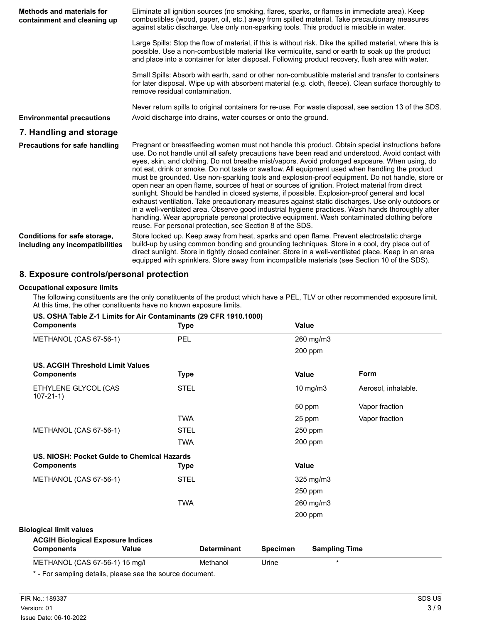| <b>Methods and materials for</b><br>containment and cleaning up | Eliminate all ignition sources (no smoking, flares, sparks, or flames in immediate area). Keep<br>combustibles (wood, paper, oil, etc.) away from spilled material. Take precautionary measures<br>against static discharge. Use only non-sparking tools. This product is miscible in water.                                                                                                                                                                                                                                                                                                                                                                                                                                                                                                                                                                                                                                                                                                                                                                                        |
|-----------------------------------------------------------------|-------------------------------------------------------------------------------------------------------------------------------------------------------------------------------------------------------------------------------------------------------------------------------------------------------------------------------------------------------------------------------------------------------------------------------------------------------------------------------------------------------------------------------------------------------------------------------------------------------------------------------------------------------------------------------------------------------------------------------------------------------------------------------------------------------------------------------------------------------------------------------------------------------------------------------------------------------------------------------------------------------------------------------------------------------------------------------------|
|                                                                 | Large Spills: Stop the flow of material, if this is without risk. Dike the spilled material, where this is<br>possible. Use a non-combustible material like vermiculite, sand or earth to soak up the product<br>and place into a container for later disposal. Following product recovery, flush area with water.                                                                                                                                                                                                                                                                                                                                                                                                                                                                                                                                                                                                                                                                                                                                                                  |
|                                                                 | Small Spills: Absorb with earth, sand or other non-combustible material and transfer to containers<br>for later disposal. Wipe up with absorbent material (e.g. cloth, fleece). Clean surface thoroughly to<br>remove residual contamination.                                                                                                                                                                                                                                                                                                                                                                                                                                                                                                                                                                                                                                                                                                                                                                                                                                       |
|                                                                 | Never return spills to original containers for re-use. For waste disposal, see section 13 of the SDS.                                                                                                                                                                                                                                                                                                                                                                                                                                                                                                                                                                                                                                                                                                                                                                                                                                                                                                                                                                               |
| <b>Environmental precautions</b>                                | Avoid discharge into drains, water courses or onto the ground.                                                                                                                                                                                                                                                                                                                                                                                                                                                                                                                                                                                                                                                                                                                                                                                                                                                                                                                                                                                                                      |
| 7. Handling and storage                                         |                                                                                                                                                                                                                                                                                                                                                                                                                                                                                                                                                                                                                                                                                                                                                                                                                                                                                                                                                                                                                                                                                     |
| <b>Precautions for safe handling</b>                            | Pregnant or breastfeeding women must not handle this product. Obtain special instructions before<br>use. Do not handle until all safety precautions have been read and understood. Avoid contact with<br>eyes, skin, and clothing. Do not breathe mist/vapors. Avoid prolonged exposure. When using, do<br>not eat, drink or smoke. Do not taste or swallow. All equipment used when handling the product<br>must be grounded. Use non-sparking tools and explosion-proof equipment. Do not handle, store or<br>open near an open flame, sources of heat or sources of ignition. Protect material from direct<br>sunlight. Should be handled in closed systems, if possible. Explosion-proof general and local<br>exhaust ventilation. Take precautionary measures against static discharges. Use only outdoors or<br>in a well-ventilated area. Observe good industrial hygiene practices. Wash hands thoroughly after<br>handling. Wear appropriate personal protective equipment. Wash contaminated clothing before<br>reuse. For personal protection, see Section 8 of the SDS. |
| Conditions for safe storage,<br>including any incompatibilities | Store locked up. Keep away from heat, sparks and open flame. Prevent electrostatic charge<br>build-up by using common bonding and grounding techniques. Store in a cool, dry place out of<br>direct sunlight. Store in tightly closed container. Store in a well-ventilated place. Keep in an area<br>equipped with sprinklers. Store away from incompatible materials (see Section 10 of the SDS).                                                                                                                                                                                                                                                                                                                                                                                                                                                                                                                                                                                                                                                                                 |

## **8. Exposure controls/personal protection**

#### **Occupational exposure limits**

The following constituents are the only constituents of the product which have a PEL, TLV or other recommended exposure limit. At this time, the other constituents have no known exposure limits.

| <b>Components</b>                                      |              | <b>Type</b> |                    |          | Value                |                     |
|--------------------------------------------------------|--------------|-------------|--------------------|----------|----------------------|---------------------|
| METHANOL (CAS 67-56-1)                                 |              | PEL         |                    |          | 260 mg/m3            |                     |
|                                                        |              |             |                    |          | 200 ppm              |                     |
| US. ACGIH Threshold Limit Values                       |              |             |                    |          |                      |                     |
| <b>Components</b>                                      |              | <b>Type</b> |                    |          | <b>Value</b>         | Form                |
| ETHYLENE GLYCOL (CAS<br>$107 - 21 - 1$                 |              | <b>STEL</b> |                    |          | 10 mg/m3             | Aerosol, inhalable. |
|                                                        |              |             |                    |          | 50 ppm               | Vapor fraction      |
|                                                        |              | <b>TWA</b>  |                    |          | 25 ppm               | Vapor fraction      |
| METHANOL (CAS 67-56-1)                                 |              | <b>STEL</b> |                    |          | 250 ppm              |                     |
|                                                        |              | <b>TWA</b>  |                    |          | 200 ppm              |                     |
| US. NIOSH: Pocket Guide to Chemical Hazards            |              |             |                    |          |                      |                     |
| <b>Components</b>                                      |              | <b>Type</b> |                    |          | <b>Value</b>         |                     |
| METHANOL (CAS 67-56-1)                                 |              | <b>STEL</b> |                    |          | 325 mg/m3            |                     |
|                                                        |              |             |                    |          | 250 ppm              |                     |
|                                                        |              | <b>TWA</b>  |                    |          | 260 mg/m3            |                     |
|                                                        |              |             |                    |          | 200 ppm              |                     |
| <b>Biological limit values</b>                         |              |             |                    |          |                      |                     |
| <b>ACGIH Biological Exposure Indices</b>               |              |             |                    |          |                      |                     |
| <b>Components</b>                                      | <b>Value</b> |             | <b>Determinant</b> | Specimen | <b>Sampling Time</b> |                     |
| METHANOL (CAS 67-56-1) 15 mg/l                         |              |             | Methanol           | Urine    | $\star$              |                     |
| * Ear campling datails, places see the source document |              |             |                    |          |                      |                     |

## **US. OSHA Table Z-1 Limits for Air Contaminants (29 CFR 1910.1000)**

- For sampling details, please see the source document.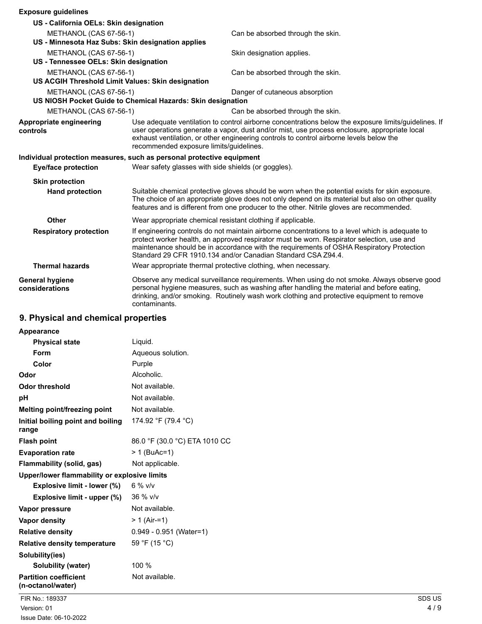| <b>Exposure guidelines</b>                                            |                                                                                                                                                                                                                                                                                                                                                          |                                                                                                                                                                                                                                                                                                   |
|-----------------------------------------------------------------------|----------------------------------------------------------------------------------------------------------------------------------------------------------------------------------------------------------------------------------------------------------------------------------------------------------------------------------------------------------|---------------------------------------------------------------------------------------------------------------------------------------------------------------------------------------------------------------------------------------------------------------------------------------------------|
| US - California OELs: Skin designation                                |                                                                                                                                                                                                                                                                                                                                                          |                                                                                                                                                                                                                                                                                                   |
| METHANOL (CAS 67-56-1)                                                |                                                                                                                                                                                                                                                                                                                                                          | Can be absorbed through the skin.                                                                                                                                                                                                                                                                 |
| US - Minnesota Haz Subs: Skin designation applies                     |                                                                                                                                                                                                                                                                                                                                                          |                                                                                                                                                                                                                                                                                                   |
| METHANOL (CAS 67-56-1)                                                |                                                                                                                                                                                                                                                                                                                                                          | Skin designation applies.                                                                                                                                                                                                                                                                         |
| US - Tennessee OELs: Skin designation                                 |                                                                                                                                                                                                                                                                                                                                                          |                                                                                                                                                                                                                                                                                                   |
| METHANOL (CAS 67-56-1)                                                |                                                                                                                                                                                                                                                                                                                                                          | Can be absorbed through the skin.                                                                                                                                                                                                                                                                 |
|                                                                       | US ACGIH Threshold Limit Values: Skin designation                                                                                                                                                                                                                                                                                                        |                                                                                                                                                                                                                                                                                                   |
| METHANOL (CAS 67-56-1)                                                |                                                                                                                                                                                                                                                                                                                                                          | Danger of cutaneous absorption                                                                                                                                                                                                                                                                    |
|                                                                       | US NIOSH Pocket Guide to Chemical Hazards: Skin designation                                                                                                                                                                                                                                                                                              |                                                                                                                                                                                                                                                                                                   |
| METHANOL (CAS 67-56-1)                                                |                                                                                                                                                                                                                                                                                                                                                          | Can be absorbed through the skin.                                                                                                                                                                                                                                                                 |
| Appropriate engineering<br>controls                                   | Use adequate ventilation to control airborne concentrations below the exposure limits/guidelines. If<br>user operations generate a vapor, dust and/or mist, use process enclosure, appropriate local<br>exhaust ventilation, or other engineering controls to control airborne levels below the<br>recommended exposure limits/guidelines.               |                                                                                                                                                                                                                                                                                                   |
| Individual protection measures, such as personal protective equipment |                                                                                                                                                                                                                                                                                                                                                          |                                                                                                                                                                                                                                                                                                   |
| <b>Eye/face protection</b>                                            | Wear safety glasses with side shields (or goggles).                                                                                                                                                                                                                                                                                                      |                                                                                                                                                                                                                                                                                                   |
| <b>Skin protection</b>                                                |                                                                                                                                                                                                                                                                                                                                                          |                                                                                                                                                                                                                                                                                                   |
| <b>Hand protection</b>                                                |                                                                                                                                                                                                                                                                                                                                                          | Suitable chemical protective gloves should be worn when the potential exists for skin exposure.<br>The choice of an appropriate glove does not only depend on its material but also on other quality<br>features and is different from one producer to the other. Nitrile gloves are recommended. |
| <b>Other</b>                                                          | Wear appropriate chemical resistant clothing if applicable.                                                                                                                                                                                                                                                                                              |                                                                                                                                                                                                                                                                                                   |
| <b>Respiratory protection</b>                                         | If engineering controls do not maintain airborne concentrations to a level which is adequate to<br>protect worker health, an approved respirator must be worn. Respirator selection, use and<br>maintenance should be in accordance with the requirements of OSHA Respiratory Protection<br>Standard 29 CFR 1910.134 and/or Canadian Standard CSA Z94.4. |                                                                                                                                                                                                                                                                                                   |
| <b>Thermal hazards</b>                                                |                                                                                                                                                                                                                                                                                                                                                          | Wear appropriate thermal protective clothing, when necessary.                                                                                                                                                                                                                                     |
| <b>General hygiene</b><br>considerations                              | contaminants.                                                                                                                                                                                                                                                                                                                                            | Observe any medical surveillance requirements. When using do not smoke. Always observe good<br>personal hygiene measures, such as washing after handling the material and before eating,<br>drinking, and/or smoking. Routinely wash work clothing and protective equipment to remove             |

# **9. Physical and chemical properties**

| <b>Appearance</b>                                 |                               |
|---------------------------------------------------|-------------------------------|
| <b>Physical state</b>                             | Liquid.                       |
| Form                                              | Aqueous solution.             |
| Color                                             | Purple                        |
| Odor                                              | Alcoholic.                    |
| <b>Odor threshold</b>                             | Not available.                |
| рH                                                | Not available.                |
| <b>Melting point/freezing point</b>               | Not available.                |
| Initial boiling point and boiling<br>range        | 174.92 °F (79.4 °C)           |
| <b>Flash point</b>                                | 86.0 °F (30.0 °C) ETA 1010 CC |
| <b>Evaporation rate</b>                           | > 1 (BuAc=1)                  |
| Flammability (solid, gas)                         | Not applicable.               |
| Upper/lower flammability or explosive limits      |                               |
| Explosive limit - lower (%)                       | 6 % $v/v$                     |
| Explosive limit - upper (%)                       | 36 % v/v                      |
| Vapor pressure                                    | Not available.                |
| Vapor density                                     | $> 1$ (Air-=1)                |
| <b>Relative density</b>                           | $0.949 - 0.951$ (Water=1)     |
| <b>Relative density temperature</b>               | 59 °F (15 °C)                 |
| Solubility(ies)                                   |                               |
| Solubility (water)                                | 100 %                         |
| <b>Partition coefficient</b><br>(n-octanol/water) | Not available.                |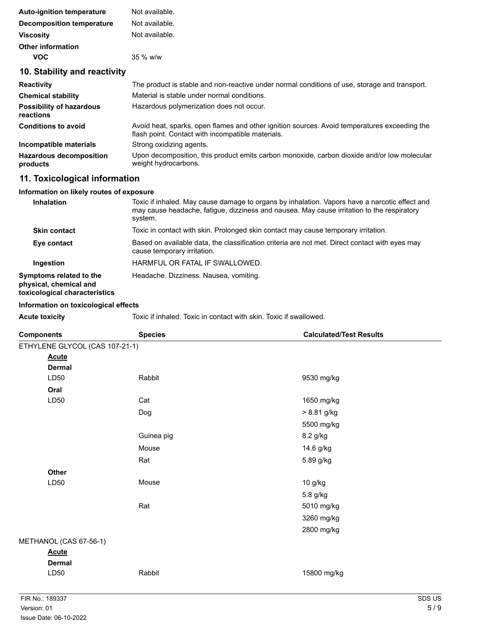| <b>Auto-ignition temperature</b>             | Not available.                                                                                                                                    |
|----------------------------------------------|---------------------------------------------------------------------------------------------------------------------------------------------------|
| <b>Decomposition temperature</b>             | Not available.                                                                                                                                    |
| <b>Viscosity</b>                             | Not available.                                                                                                                                    |
| <b>Other information</b>                     |                                                                                                                                                   |
| <b>VOC</b>                                   | 35 % w/w                                                                                                                                          |
| 10. Stability and reactivity                 |                                                                                                                                                   |
| <b>Reactivity</b>                            | The product is stable and non-reactive under normal conditions of use, storage and transport.                                                     |
| <b>Chemical stability</b>                    | Material is stable under normal conditions.                                                                                                       |
| <b>Possibility of hazardous</b><br>reactions | Hazardous polymerization does not occur.                                                                                                          |
| <b>Conditions to avoid</b>                   | Avoid heat, sparks, open flames and other ignition sources. Avoid temperatures exceeding the<br>flash point. Contact with incompatible materials. |
| Incompatible materials                       | Strong oxidizing agents.                                                                                                                          |
| <b>Hazardous decomposition</b><br>products   | Upon decomposition, this product emits carbon monoxide, carbon dioxide and/or low molecular<br>weight hydrocarbons.                               |
| 11. Toxicological information                |                                                                                                                                                   |
| Information on likely routes of exposure     |                                                                                                                                                   |

### **Inhalation** Toxic if inhaled. May cause damage to organs by inhalation. Vapors have a narcotic effect and may cause headache, fatigue, dizziness and nausea. May cause irritation to the respiratory system. **Skin contact** Toxic in contact with skin. Prolonged skin contact may cause temporary irritation. **Eye contact** Based on available data, the classification criteria are not met. Direct contact with eyes may cause temporary irritation. **Ingestion** HARMFUL OR FATAL IF SWALLOWED. **Symptoms related to the physical, chemical and toxicological characteristics** Headache. Dizziness. Nausea, vomiting.

#### **Information on toxicological effects**

| Acute toxicitv |  |
|----------------|--|

**Acute toxicity** Toxic if inhaled. Toxic in contact with skin. Toxic if swallowed.

| <b>Components</b>              | <b>Species</b> | <b>Calculated/Test Results</b> |
|--------------------------------|----------------|--------------------------------|
| ETHYLENE GLYCOL (CAS 107-21-1) |                |                                |
| <b>Acute</b>                   |                |                                |
| <b>Dermal</b>                  |                |                                |
| LD50                           | Rabbit         | 9530 mg/kg                     |
| Oral                           |                |                                |
| LD50                           | Cat            | 1650 mg/kg                     |
|                                | Dog            | > 8.81 g/kg                    |
|                                |                | 5500 mg/kg                     |
|                                | Guinea pig     | 8.2 g/kg                       |
|                                | Mouse          | 14.6 g/kg                      |
|                                | Rat            | 5.89 g/kg                      |
| Other                          |                |                                |
| LD50                           | Mouse          | 10 g/kg                        |
|                                |                | 5.8 g/kg                       |
|                                | Rat            | 5010 mg/kg                     |
|                                |                | 3260 mg/kg                     |
|                                |                | 2800 mg/kg                     |
| METHANOL (CAS 67-56-1)         |                |                                |
| <b>Acute</b>                   |                |                                |
| <b>Dermal</b>                  |                |                                |
| LD50                           | Rabbit         | 15800 mg/kg                    |
|                                |                |                                |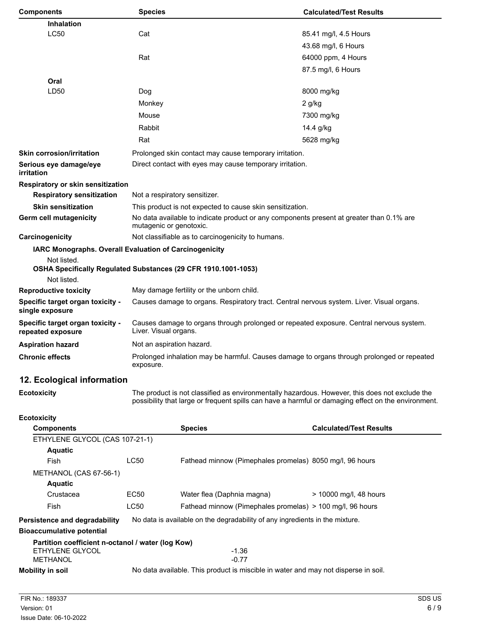| <b>Components</b>                                                                    | <b>Species</b> |                                                                                                                                                                                                       | <b>Calculated/Test Results</b>                           |  |  |
|--------------------------------------------------------------------------------------|----------------|-------------------------------------------------------------------------------------------------------------------------------------------------------------------------------------------------------|----------------------------------------------------------|--|--|
| <b>Inhalation</b>                                                                    |                |                                                                                                                                                                                                       |                                                          |  |  |
| <b>LC50</b>                                                                          | Cat            |                                                                                                                                                                                                       | 85.41 mg/l, 4.5 Hours                                    |  |  |
|                                                                                      |                |                                                                                                                                                                                                       | 43.68 mg/l, 6 Hours                                      |  |  |
|                                                                                      | Rat            |                                                                                                                                                                                                       | 64000 ppm, 4 Hours                                       |  |  |
|                                                                                      |                |                                                                                                                                                                                                       | 87.5 mg/l, 6 Hours                                       |  |  |
| Oral                                                                                 |                |                                                                                                                                                                                                       |                                                          |  |  |
| LD50                                                                                 | Dog            |                                                                                                                                                                                                       | 8000 mg/kg                                               |  |  |
|                                                                                      | Monkey         |                                                                                                                                                                                                       | 2 g/kg                                                   |  |  |
|                                                                                      | Mouse          |                                                                                                                                                                                                       | 7300 mg/kg                                               |  |  |
|                                                                                      | Rabbit         |                                                                                                                                                                                                       | 14.4 g/kg                                                |  |  |
|                                                                                      | Rat            |                                                                                                                                                                                                       | 5628 mg/kg                                               |  |  |
| <b>Skin corrosion/irritation</b>                                                     |                | Prolonged skin contact may cause temporary irritation.                                                                                                                                                |                                                          |  |  |
| Serious eye damage/eye<br>irritation                                                 |                | Direct contact with eyes may cause temporary irritation.                                                                                                                                              |                                                          |  |  |
| Respiratory or skin sensitization                                                    |                |                                                                                                                                                                                                       |                                                          |  |  |
| <b>Respiratory sensitization</b>                                                     |                | Not a respiratory sensitizer.                                                                                                                                                                         |                                                          |  |  |
| <b>Skin sensitization</b>                                                            |                | This product is not expected to cause skin sensitization.                                                                                                                                             |                                                          |  |  |
| Germ cell mutagenicity                                                               |                | No data available to indicate product or any components present at greater than 0.1% are<br>mutagenic or genotoxic.                                                                                   |                                                          |  |  |
| Carcinogenicity                                                                      |                | Not classifiable as to carcinogenicity to humans.                                                                                                                                                     |                                                          |  |  |
| IARC Monographs. Overall Evaluation of Carcinogenicity<br>Not listed.<br>Not listed. |                | OSHA Specifically Regulated Substances (29 CFR 1910.1001-1053)                                                                                                                                        |                                                          |  |  |
| <b>Reproductive toxicity</b>                                                         |                | May damage fertility or the unborn child.                                                                                                                                                             |                                                          |  |  |
| Specific target organ toxicity -<br>single exposure                                  |                | Causes damage to organs. Respiratory tract. Central nervous system. Liver. Visual organs.                                                                                                             |                                                          |  |  |
| Specific target organ toxicity -<br>repeated exposure                                |                | Causes damage to organs through prolonged or repeated exposure. Central nervous system.<br>Liver. Visual organs.                                                                                      |                                                          |  |  |
| <b>Aspiration hazard</b>                                                             |                | Not an aspiration hazard.                                                                                                                                                                             |                                                          |  |  |
| <b>Chronic effects</b>                                                               | exposure.      | Prolonged inhalation may be harmful. Causes damage to organs through prolonged or repeated                                                                                                            |                                                          |  |  |
| 12. Ecological information                                                           |                |                                                                                                                                                                                                       |                                                          |  |  |
| <b>Ecotoxicity</b>                                                                   |                | The product is not classified as environmentally hazardous. However, this does not exclude the<br>possibility that large or frequent spills can have a harmful or damaging effect on the environment. |                                                          |  |  |
| <b>Ecotoxicity</b>                                                                   |                |                                                                                                                                                                                                       |                                                          |  |  |
| <b>Components</b>                                                                    |                | <b>Species</b>                                                                                                                                                                                        | <b>Calculated/Test Results</b>                           |  |  |
| ETHYLENE GLYCOL (CAS 107-21-1)                                                       |                |                                                                                                                                                                                                       |                                                          |  |  |
| <b>Aquatic</b>                                                                       |                |                                                                                                                                                                                                       |                                                          |  |  |
| Fish                                                                                 | <b>LC50</b>    |                                                                                                                                                                                                       | Fathead minnow (Pimephales promelas) 8050 mg/l, 96 hours |  |  |
| METHANOL (CAS 67-56-1)                                                               |                |                                                                                                                                                                                                       |                                                          |  |  |
| Aquatic                                                                              |                |                                                                                                                                                                                                       |                                                          |  |  |

| , , , , , , , , , , ,                                             |                                                                              |                                                           |                        |  |  |
|-------------------------------------------------------------------|------------------------------------------------------------------------------|-----------------------------------------------------------|------------------------|--|--|
| Crustacea                                                         | EC50                                                                         | Water flea (Daphnia magna)                                | > 10000 mg/l, 48 hours |  |  |
| Fish                                                              | LC50                                                                         | Fathead minnow (Pimephales promelas) > 100 mg/l, 96 hours |                        |  |  |
| Persistence and degradability<br><b>Bioaccumulative potential</b> | No data is available on the degradability of any ingredients in the mixture. |                                                           |                        |  |  |
| Partition coefficient n-octanol / water (log Kow)                 |                                                                              |                                                           |                        |  |  |
| ETHYLENE GLYCOL                                                   |                                                                              | $-1.36$                                                   |                        |  |  |

**Mobility in soil** No data available. This product is miscible in water and may not disperse in soil.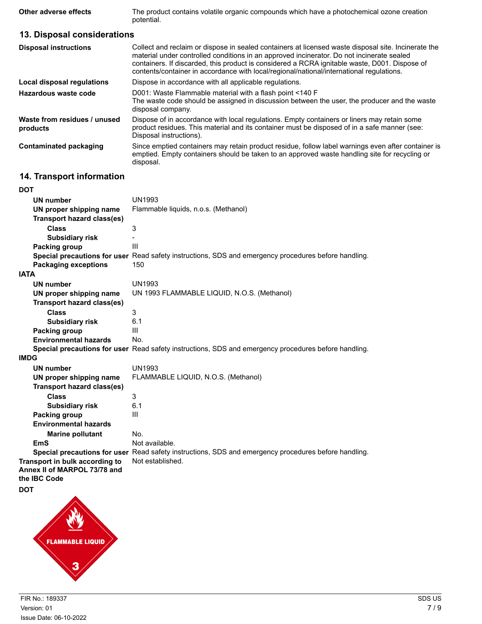**Other adverse effects** The product contains volatile organic compounds which have a photochemical ozone creation potential.

## **13. Disposal considerations**

| <b>Disposal instructions</b>             | Collect and reclaim or dispose in sealed containers at licensed waste disposal site. Incinerate the<br>material under controlled conditions in an approved incinerator. Do not incinerate sealed<br>containers. If discarded, this product is considered a RCRA ignitable waste, D001. Dispose of<br>contents/container in accordance with local/regional/national/international regulations. |
|------------------------------------------|-----------------------------------------------------------------------------------------------------------------------------------------------------------------------------------------------------------------------------------------------------------------------------------------------------------------------------------------------------------------------------------------------|
| <b>Local disposal regulations</b>        | Dispose in accordance with all applicable regulations.                                                                                                                                                                                                                                                                                                                                        |
| Hazardous waste code                     | D001: Waste Flammable material with a flash point <140 F<br>The waste code should be assigned in discussion between the user, the producer and the waste<br>disposal company.                                                                                                                                                                                                                 |
| Waste from residues / unused<br>products | Dispose of in accordance with local regulations. Empty containers or liners may retain some<br>product residues. This material and its container must be disposed of in a safe manner (see:<br>Disposal instructions).                                                                                                                                                                        |
| <b>Contaminated packaging</b>            | Since emptied containers may retain product residue, follow label warnings even after container is<br>emptied. Empty containers should be taken to an approved waste handling site for recycling or<br>disposal.                                                                                                                                                                              |

# **14. Transport information**

| <b>DOT</b>                        |                                                                                                      |
|-----------------------------------|------------------------------------------------------------------------------------------------------|
| <b>UN number</b>                  | <b>UN1993</b>                                                                                        |
| UN proper shipping name           | Flammable liquids, n.o.s. (Methanol)                                                                 |
| <b>Transport hazard class(es)</b> |                                                                                                      |
| <b>Class</b>                      | 3                                                                                                    |
| <b>Subsidiary risk</b>            |                                                                                                      |
| Packing group                     | Ш                                                                                                    |
|                                   | Special precautions for user Read safety instructions, SDS and emergency procedures before handling. |
| <b>Packaging exceptions</b>       | 150                                                                                                  |
| <b>IATA</b>                       |                                                                                                      |
| <b>UN number</b>                  | <b>UN1993</b>                                                                                        |
| UN proper shipping name           | UN 1993 FLAMMABLE LIQUID, N.O.S. (Methanol)                                                          |
| Transport hazard class(es)        |                                                                                                      |
| <b>Class</b>                      | 3                                                                                                    |
| <b>Subsidiary risk</b>            | 6.1                                                                                                  |
| Packing group                     | Ш                                                                                                    |
| <b>Environmental hazards</b>      | No.                                                                                                  |
|                                   | Special precautions for user Read safety instructions, SDS and emergency procedures before handling. |
| <b>IMDG</b>                       |                                                                                                      |
| <b>UN number</b>                  | <b>UN1993</b>                                                                                        |
| UN proper shipping name           | FLAMMABLE LIQUID, N.O.S. (Methanol)                                                                  |
| <b>Transport hazard class(es)</b> |                                                                                                      |
| <b>Class</b>                      | 3                                                                                                    |
| <b>Subsidiary risk</b>            | 6.1                                                                                                  |
| Packing group                     | Ш                                                                                                    |
| <b>Environmental hazards</b>      |                                                                                                      |
| <b>Marine pollutant</b>           | No.                                                                                                  |
| <b>EmS</b>                        | Not available.                                                                                       |
|                                   | Special precautions for user Read safety instructions, SDS and emergency procedures before handling. |
| Transport in bulk according to    | Not established.                                                                                     |
| Annex II of MARPOL 73/78 and      |                                                                                                      |
| the IBC Code                      |                                                                                                      |
| <b>DOT</b>                        |                                                                                                      |
|                                   |                                                                                                      |

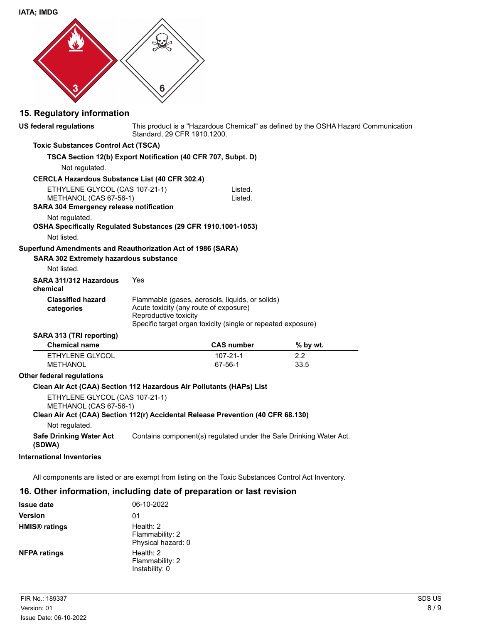**IATA; IMDG**



## **15. Regulatory information**

This product is a "Hazardous Chemical" as defined by the OSHA Hazard Communication Standard, 29 CFR 1910.1200. **US federal regulations Toxic Substances Control Act (TSCA) TSCA Section 12(b) Export Notification (40 CFR 707, Subpt. D)** Not regulated. **CERCLA Hazardous Substance List (40 CFR 302.4)** ETHYLENE GLYCOL (CAS 107-21-1) Listed. METHANOL (CAS 67-56-1) Listed. **SARA 304 Emergency release notification** Not regulated. **OSHA Specifically Regulated Substances (29 CFR 1910.1001-1053)** Not listed. **SARA 302 Extremely hazardous substance Superfund Amendments and Reauthorization Act of 1986 (SARA)** Not listed. **SARA 311/312 Hazardous** Yes **chemical** Flammable (gases, aerosols, liquids, or solids) Acute toxicity (any route of exposure) Reproductive toxicity Specific target organ toxicity (single or repeated exposure) **Classified hazard categories SARA 313 (TRI reporting) Chemical name CAS number % by wt.** ETHYLENE GLYCOL 107-21-1 2.2<br>METHANOL 107-56-1 33.5 **METHANOL Other federal regulations Clean Air Act (CAA) Section 112 Hazardous Air Pollutants (HAPs) List** ETHYLENE GLYCOL (CAS 107-21-1) METHANOL (CAS 67-56-1) **Clean Air Act (CAA) Section 112(r) Accidental Release Prevention (40 CFR 68.130)** Not regulated. **Safe Drinking Water Act** Contains component(s) regulated under the Safe Drinking Water Act. **(SDWA)**

### **International Inventories**

All components are listed or are exempt from listing on the Toxic Substances Control Act Inventory.

### **16. Other information, including date of preparation or last revision**

| <b>Issue date</b>               | 06-10-2022                                           |
|---------------------------------|------------------------------------------------------|
| Version                         | 01                                                   |
| <b>HMIS<sup>®</sup></b> ratings | Health: $2$<br>Flammability: 2<br>Physical hazard: 0 |
| <b>NFPA ratings</b>             | Health: $2$<br>Flammability: 2<br>Instability: 0     |